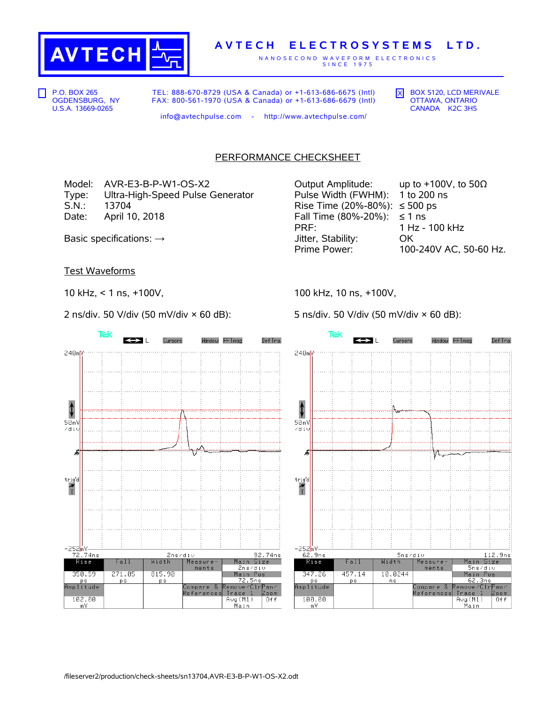

## **A V T E C H E L E C T R O S Y S T E M S L T D .**

N A N O S E C O N D W A V E F O R M E L E C T R O N I C S S IN C E 1975

P.O. BOX 265 OGDENSBURG, NY U.S.A. 13669-0265

TEL: 888-670-8729 (USA & Canada) or +1-613-686-6675 (Intl) FAX: 800-561-1970 (USA & Canada) or +1-613-686-6679 (Intl)  $\overline{X}$  BOX 5120, LCD MERIVALE OTTAWA, ONTARIO CANADA K2C 3H5

info@avtechpulse.com - http://www.avtechpulse.com/

## PERFORMANCE CHECKSHEET

Model: AVR-E3-B-P-W1-OS-X2 Output Amplitude: up to +100V, to 50Ω Type: Ultra-High-Speed Pulse Generator Pulse Width (FWHM): 1 to 200 ns<br>S.N.: 13704 Pulse Time (20%-80%): ≤500 ps  $13704$  Rise Time (20%-80%): ≤ 500 ps Date: April 10, 2018  $\blacksquare$  Fall Time (80%-20%): ≤ 1 ns

PRF: 1 Hz - 100 kHz Basic specifications: →  $\longrightarrow$  Jitter, Stability: OK Prime Power: 100-240V AC, 50-60 Hz.

Test Waveforms

10 kHz, < 1 ns, +100V,

2 ns/div. 50 V/div (50 mV/div × 60 dB):

Tek Cursors Window FFTmag Def Tra  $\leftrightarrow$  $248m$ ⇕  $50mV$ zdiu Л trig'd  $\frac{1}{T}$ -252<mark>mV-</mark> 92.74ns 72.74ns 2ns/div Width  $Rise$ Fall Measure Main Size 2ns⁄di∪ ments 271.05 815.90 350.59 Main Pos 72.5ns<br>emove/Clr<mark>Pan/</mark> **ps ps** ps<br>Amplitude Compare &<br>References Trace 1<br>Avg(M1) Zoom 102.00  $0+f$ <u>Main</u>  $mV$ 

100 kHz, 10 ns, +100V,

5 ns/div. 50 V/div (50 mV/div × 60 dB):

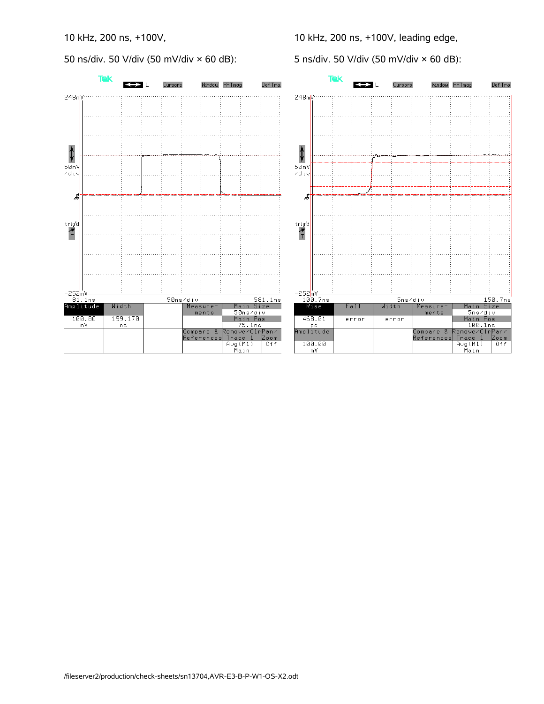50 ns/div. 50 V/div (50 mV/div × 60 dB):

10 kHz, 200 ns, +100V, leading edge,

5 ns/div. 50 V/div (50 mV/div × 60 dB):